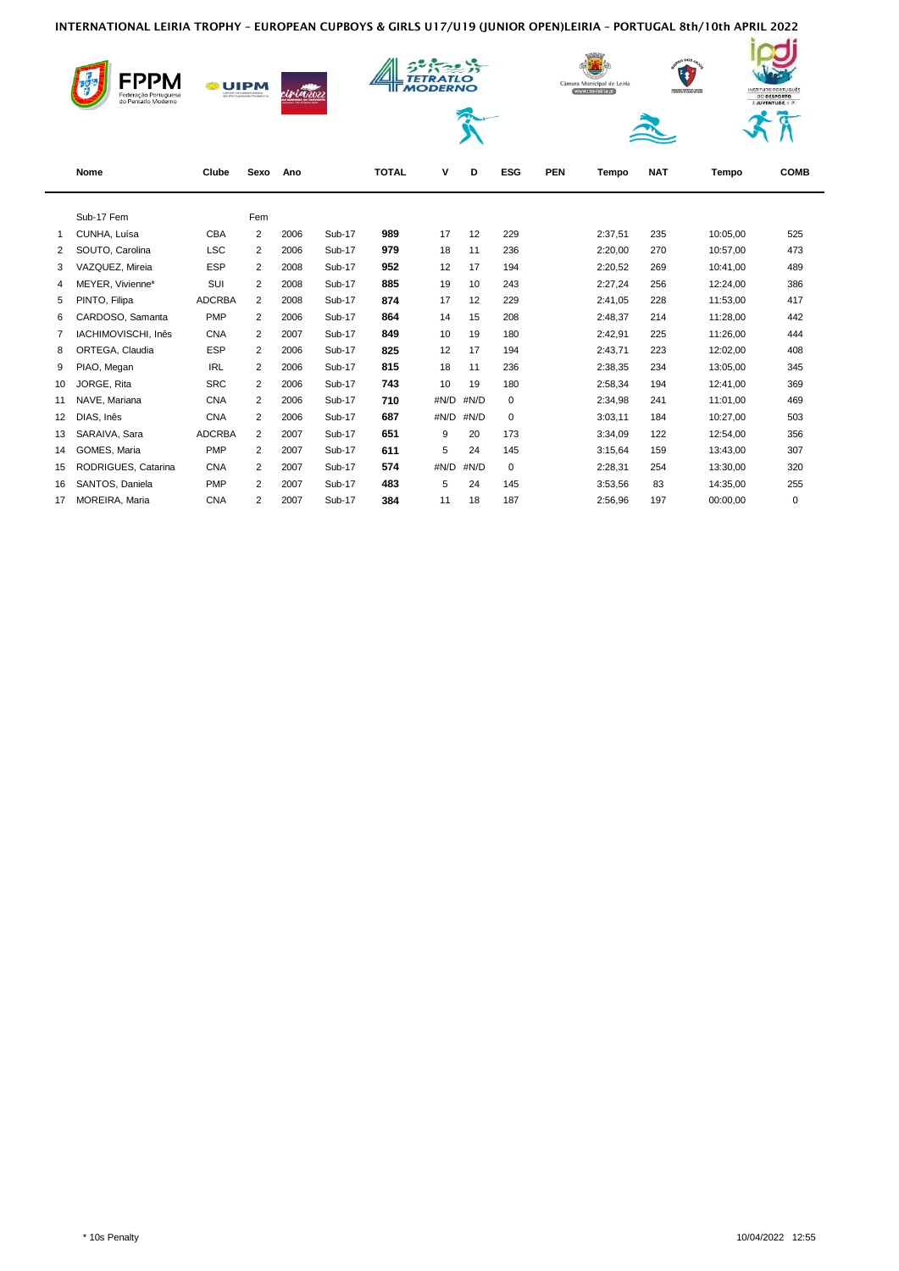|    | <b>UIPM</b><br>Federação Portuguesa<br>do Pentatlo Moderno |               | i <b>j in</b> teozi |      |               | <b>MODERNO</b> |      |      | Câmara Municipal de Leiria<br>www.cm-leiria.pt |            |         | a0 DOS 44<br>INSTITUTO PORTUGUÊS<br>ASSOCIAÇÃO SASPORTIVA, CALTARAL<br>E REDUCITIVA OS BARRO DOS ANGEI<br><b>DO DESPORTO</b><br>E JUVENTUDE, I. P. |          |             |
|----|------------------------------------------------------------|---------------|---------------------|------|---------------|----------------|------|------|------------------------------------------------|------------|---------|----------------------------------------------------------------------------------------------------------------------------------------------------|----------|-------------|
|    | Nome                                                       | Clube         | Sexo                | Ano  |               | <b>TOTAL</b>   | ٧    | D    | <b>ESG</b>                                     | <b>PEN</b> | Tempo   | <b>NAT</b>                                                                                                                                         | Tempo    | <b>COMB</b> |
|    | Sub-17 Fem                                                 |               | Fem                 |      |               |                |      |      |                                                |            |         |                                                                                                                                                    |          |             |
| 1  | CUNHA, Luísa                                               | CBA           | 2                   | 2006 | <b>Sub-17</b> | 989            | 17   | 12   | 229                                            |            | 2:37,51 | 235                                                                                                                                                | 10:05,00 | 525         |
| 2  | SOUTO, Carolina                                            | <b>LSC</b>    | 2                   | 2006 | Sub-17        | 979            | 18   | 11   | 236                                            |            | 2:20.00 | 270                                                                                                                                                | 10:57.00 | 473         |
| 3  | VAZQUEZ, Mireia                                            | <b>ESP</b>    | $\overline{2}$      | 2008 | Sub-17        | 952            | 12   | 17   | 194                                            |            | 2:20,52 | 269                                                                                                                                                | 10:41,00 | 489         |
| 4  | MEYER, Vivienne*                                           | SUI           | 2                   | 2008 | Sub-17        | 885            | 19   | 10   | 243                                            |            | 2:27,24 | 256                                                                                                                                                | 12:24,00 | 386         |
| 5  | PINTO, Filipa                                              | <b>ADCRBA</b> | 2                   | 2008 | Sub-17        | 874            | 17   | 12   | 229                                            |            | 2:41,05 | 228                                                                                                                                                | 11:53,00 | 417         |
| 6  | CARDOSO, Samanta                                           | PMP           | $\overline{2}$      | 2006 | Sub-17        | 864            | 14   | 15   | 208                                            |            | 2:48,37 | 214                                                                                                                                                | 11:28,00 | 442         |
| 7  | IACHIMOVISCHI, Inês                                        | <b>CNA</b>    | 2                   | 2007 | Sub-17        | 849            | 10   | 19   | 180                                            |            | 2:42.91 | 225                                                                                                                                                | 11:26,00 | 444         |
| 8  | ORTEGA, Claudia                                            | <b>ESP</b>    | 2                   | 2006 | <b>Sub-17</b> | 825            | 12   | 17   | 194                                            |            | 2:43,71 | 223                                                                                                                                                | 12:02,00 | 408         |
| 9  | PIAO, Megan                                                | <b>IRL</b>    | 2                   | 2006 | Sub-17        | 815            | 18   | 11   | 236                                            |            | 2:38,35 | 234                                                                                                                                                | 13:05,00 | 345         |
| 10 | JORGE, Rita                                                | <b>SRC</b>    | 2                   | 2006 | Sub-17        | 743            | 10   | 19   | 180                                            |            | 2:58,34 | 194                                                                                                                                                | 12:41,00 | 369         |
| 11 | NAVE, Mariana                                              | <b>CNA</b>    | 2                   | 2006 | Sub-17        | 710            | #N/D | #N/D | 0                                              |            | 2:34,98 | 241                                                                                                                                                | 11:01.00 | 469         |
| 12 | DIAS, Inês                                                 | <b>CNA</b>    | 2                   | 2006 | <b>Sub-17</b> | 687            | #N/D | #N/D | $\mathbf 0$                                    |            | 3:03,11 | 184                                                                                                                                                | 10:27,00 | 503         |
| 13 | SARAIVA, Sara                                              | <b>ADCRBA</b> | 2                   | 2007 | Sub-17        | 651            | 9    | 20   | 173                                            |            | 3:34,09 | 122                                                                                                                                                | 12:54,00 | 356         |
| 14 | GOMES, Maria                                               | PMP           | 2                   | 2007 | Sub-17        | 611            | 5    | 24   | 145                                            |            | 3:15,64 | 159                                                                                                                                                | 13:43,00 | 307         |
| 15 | RODRIGUES, Catarina                                        | <b>CNA</b>    | 2                   | 2007 | Sub-17        | 574            | #N/D | #N/D | 0                                              |            | 2:28,31 | 254                                                                                                                                                | 13:30,00 | 320         |
| 16 | SANTOS, Daniela                                            | <b>PMP</b>    | 2                   | 2007 | Sub-17        | 483            | 5    | 24   | 145                                            |            | 3:53,56 | 83                                                                                                                                                 | 14:35,00 | 255         |
| 17 | MOREIRA, Maria                                             | <b>CNA</b>    | $\overline{2}$      | 2007 | Sub-17        | 384            | 11   | 18   | 187                                            |            | 2:56.96 | 197                                                                                                                                                | 00:00,00 | $\mathbf 0$ |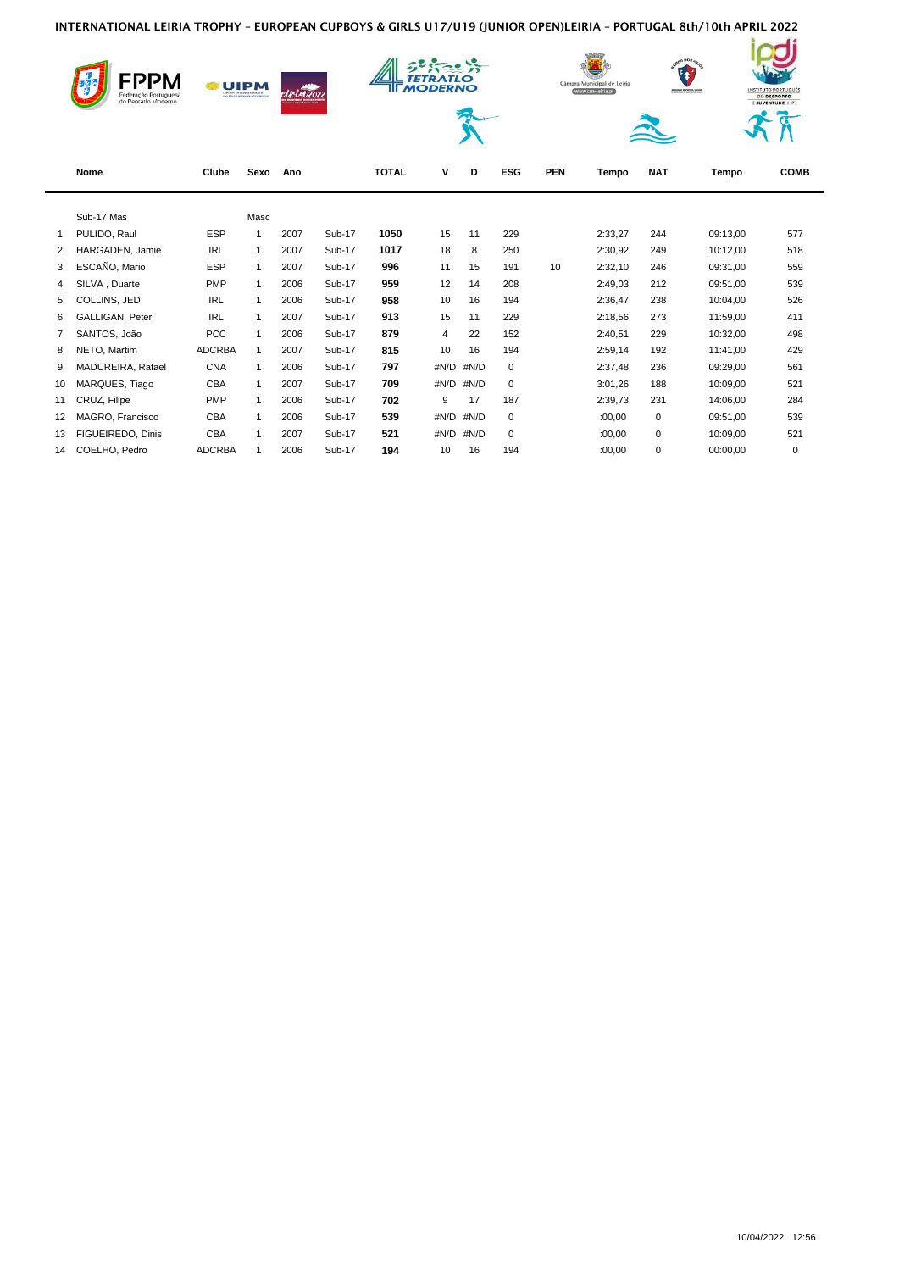|                | FPPM<br><b>UIPM</b><br>Federação Portuguesa<br>do Pentatlo Moderno |               |                |      |               |              | <b>MODERNO</b> |      |             | $000s_A$<br>$\mathbf{E}$<br>Câmara Municipal de Leiria<br>www.cm-leiria.pt<br>ASSOCIAÇÃO SASPORTIVA, CALTARAL<br>E REDUCITIVA OS BARRO DOS ANGEI |         |            |          | INSTITUTO PORTUGUÊS<br><b>DO DESPORTO</b><br>E JUVENTUDE, I. P. |  |
|----------------|--------------------------------------------------------------------|---------------|----------------|------|---------------|--------------|----------------|------|-------------|--------------------------------------------------------------------------------------------------------------------------------------------------|---------|------------|----------|-----------------------------------------------------------------|--|
|                | Nome                                                               | Clube         | Sexo           | Ano  |               | <b>TOTAL</b> | v              | D    | <b>ESG</b>  | <b>PEN</b>                                                                                                                                       | Tempo   | <b>NAT</b> | Tempo    | <b>COMB</b>                                                     |  |
|                | Sub-17 Mas                                                         |               | Masc           |      |               |              |                |      |             |                                                                                                                                                  |         |            |          |                                                                 |  |
| $\mathbf 1$    | PULIDO, Raul                                                       | <b>ESP</b>    | $\overline{1}$ | 2007 | Sub-17        | 1050         | 15             | 11   | 229         |                                                                                                                                                  | 2:33,27 | 244        | 09:13,00 | 577                                                             |  |
| $\overline{2}$ | HARGADEN, Jamie                                                    | <b>IRL</b>    | $\mathbf{1}$   | 2007 | Sub-17        | 1017         | 18             | 8    | 250         |                                                                                                                                                  | 2:30,92 | 249        | 10:12,00 | 518                                                             |  |
| 3              | ESCAÑO, Mario                                                      | <b>ESP</b>    | $\mathbf{1}$   | 2007 | Sub-17        | 996          | 11             | 15   | 191         | 10                                                                                                                                               | 2:32,10 | 246        | 09:31,00 | 559                                                             |  |
| 4              | SILVA, Duarte                                                      | <b>PMP</b>    | $\mathbf{1}$   | 2006 | Sub-17        | 959          | 12             | 14   | 208         |                                                                                                                                                  | 2:49,03 | 212        | 09:51,00 | 539                                                             |  |
| 5              | COLLINS, JED                                                       | <b>IRL</b>    | -1             | 2006 | <b>Sub-17</b> | 958          | 10             | 16   | 194         |                                                                                                                                                  | 2:36,47 | 238        | 10:04,00 | 526                                                             |  |
| 6              | GALLIGAN, Peter                                                    | <b>IRL</b>    | $\mathbf 1$    | 2007 | Sub-17        | 913          | 15             | 11   | 229         |                                                                                                                                                  | 2:18,56 | 273        | 11:59,00 | 411                                                             |  |
| 7              | SANTOS, João                                                       | <b>PCC</b>    | $\mathbf 1$    | 2006 | Sub-17        | 879          | 4              | 22   | 152         |                                                                                                                                                  | 2:40,51 | 229        | 10:32,00 | 498                                                             |  |
| 8              | NETO, Martim                                                       | <b>ADCRBA</b> | $\mathbf{1}$   | 2007 | Sub-17        | 815          | 10             | 16   | 194         |                                                                                                                                                  | 2:59,14 | 192        | 11:41,00 | 429                                                             |  |
| 9              | MADUREIRA, Rafael                                                  | <b>CNA</b>    | $\mathbf{1}$   | 2006 | Sub-17        | 797          | #N/D           | #N/D | $\mathbf 0$ |                                                                                                                                                  | 2:37,48 | 236        | 09:29,00 | 561                                                             |  |
| 10             | MARQUES, Tiago                                                     | CBA           | $\mathbf{1}$   | 2007 | Sub-17        | 709          | #N/D           | #N/D | $\mathbf 0$ |                                                                                                                                                  | 3:01,26 | 188        | 10:09,00 | 521                                                             |  |
| 11             | CRUZ, Filipe                                                       | PMP           | -1             | 2006 | Sub-17        | 702          | 9              | 17   | 187         |                                                                                                                                                  | 2:39,73 | 231        | 14:06.00 | 284                                                             |  |
| 12             | MAGRO, Francisco                                                   | CBA           | -1             | 2006 | Sub-17        | 539          | #N/D           | #N/D | 0           |                                                                                                                                                  | :00,00  | 0          | 09:51,00 | 539                                                             |  |
| 13             | FIGUEIREDO, Dinis                                                  | <b>CBA</b>    | -1             | 2007 | Sub-17        | 521          | #N/D           | #N/D | 0           |                                                                                                                                                  | :00,00  | 0          | 10:09,00 | 521                                                             |  |
| 14             | COELHO, Pedro                                                      | <b>ADCRBA</b> | 1              | 2006 | Sub-17        | 194          | 10             | 16   | 194         |                                                                                                                                                  | :00,00  | 0          | 00:00,00 | 0                                                               |  |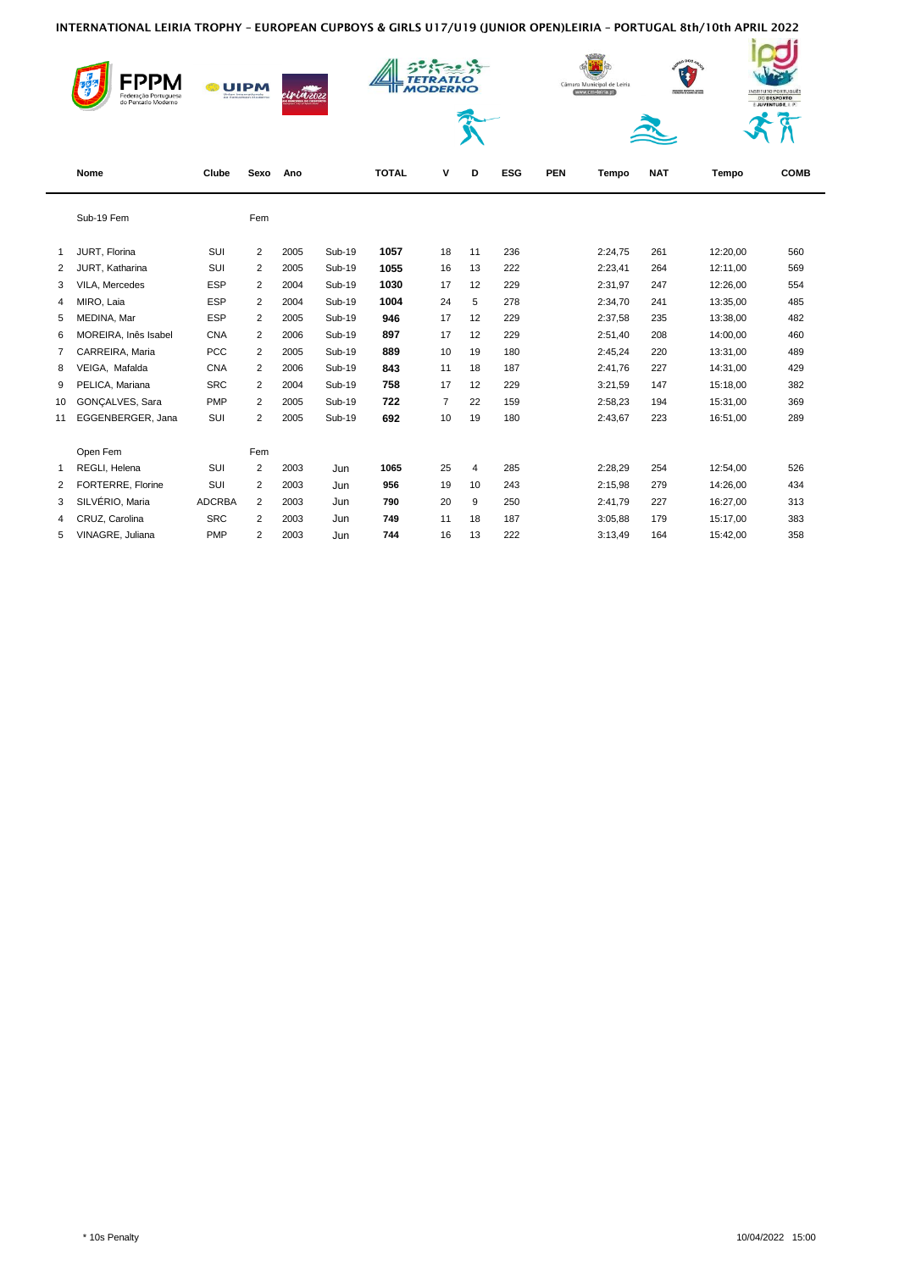|                | do Pentatlo Moderno  | <b>UIPM</b>   |                | <b>ciria</b> zozz |               |              | <b>MODERNO</b> |                |            | Câmara Municipal de Leiria<br>www.cm-leiria.pt |         |            | 0.008<br>INSTITUTO PORTUGUÊS<br>ASSOCIAÇÃO DISPORTIVA, CALTARA<br>E REDMIATIVA DE BARRO DOS ANARE<br><b>DO DESPORTO</b><br>E JUVENTUDE, I. P. |             |  |
|----------------|----------------------|---------------|----------------|-------------------|---------------|--------------|----------------|----------------|------------|------------------------------------------------|---------|------------|-----------------------------------------------------------------------------------------------------------------------------------------------|-------------|--|
|                |                      |               |                |                   |               |              |                |                |            |                                                |         |            |                                                                                                                                               |             |  |
|                | Nome                 | Clube         | Sexo           | Ano               |               | <b>TOTAL</b> | v              | D              | <b>ESG</b> | <b>PEN</b>                                     | Tempo   | <b>NAT</b> | Tempo                                                                                                                                         | <b>COMB</b> |  |
|                | Sub-19 Fem           |               | Fem            |                   |               |              |                |                |            |                                                |         |            |                                                                                                                                               |             |  |
| $\mathbf{1}$   | JURT, Florina        | SUI           | $\overline{2}$ | 2005              | <b>Sub-19</b> | 1057         | 18             | 11             | 236        |                                                | 2:24,75 | 261        | 12:20,00                                                                                                                                      | 560         |  |
| $\overline{2}$ | JURT, Katharina      | SUI           | 2              | 2005              | <b>Sub-19</b> | 1055         | 16             | 13             | 222        |                                                | 2:23,41 | 264        | 12:11,00                                                                                                                                      | 569         |  |
| 3              | VILA. Mercedes       | <b>ESP</b>    | 2              | 2004              | Sub-19        | 1030         | 17             | 12             | 229        |                                                | 2:31,97 | 247        | 12:26,00                                                                                                                                      | 554         |  |
| $\overline{4}$ | MIRO, Laia           | <b>ESP</b>    | $\overline{2}$ | 2004              | <b>Sub-19</b> | 1004         | 24             | 5              | 278        |                                                | 2:34,70 | 241        | 13:35,00                                                                                                                                      | 485         |  |
| 5              | MEDINA, Mar          | <b>ESP</b>    | $\overline{2}$ | 2005              | <b>Sub-19</b> | 946          | 17             | 12             | 229        |                                                | 2:37,58 | 235        | 13:38,00                                                                                                                                      | 482         |  |
| 6              | MOREIRA, Inês Isabel | <b>CNA</b>    | $\overline{2}$ | 2006              | <b>Sub-19</b> | 897          | 17             | 12             | 229        |                                                | 2:51,40 | 208        | 14:00,00                                                                                                                                      | 460         |  |
| 7              | CARREIRA, Maria      | <b>PCC</b>    | $\overline{2}$ | 2005              | <b>Sub-19</b> | 889          | 10             | 19             | 180        |                                                | 2:45,24 | 220        | 13:31,00                                                                                                                                      | 489         |  |
| 8              | VEIGA, Mafalda       | <b>CNA</b>    | $\overline{2}$ | 2006              | <b>Sub-19</b> | 843          | 11             | 18             | 187        |                                                | 2:41.76 | 227        | 14:31,00                                                                                                                                      | 429         |  |
| 9              | PELICA, Mariana      | <b>SRC</b>    | $\overline{2}$ | 2004              | <b>Sub-19</b> | 758          | 17             | 12             | 229        |                                                | 3:21,59 | 147        | 15:18,00                                                                                                                                      | 382         |  |
| 10             | GONÇALVES, Sara      | <b>PMP</b>    | 2              | 2005              | <b>Sub-19</b> | 722          | $\overline{7}$ | 22             | 159        |                                                | 2:58,23 | 194        | 15:31,00                                                                                                                                      | 369         |  |
| 11             | EGGENBERGER, Jana    | SUI           | 2              | 2005              | <b>Sub-19</b> | 692          | 10             | 19             | 180        |                                                | 2:43,67 | 223        | 16:51,00                                                                                                                                      | 289         |  |
|                | Open Fem             |               | Fem            |                   |               |              |                |                |            |                                                |         |            |                                                                                                                                               |             |  |
| $\mathbf{1}$   | REGLI, Helena        | SUI           | $\overline{2}$ | 2003              | Jun           | 1065         | 25             | $\overline{4}$ | 285        |                                                | 2:28,29 | 254        | 12:54,00                                                                                                                                      | 526         |  |
| $\overline{2}$ | FORTERRE, Florine    | SUI           | $\overline{2}$ | 2003              | Jun           | 956          | 19             | 10             | 243        |                                                | 2:15,98 | 279        | 14:26,00                                                                                                                                      | 434         |  |
| 3              | SILVÉRIO, Maria      | <b>ADCRBA</b> | 2              | 2003              | Jun           | 790          | 20             | 9              | 250        |                                                | 2:41,79 | 227        | 16:27,00                                                                                                                                      | 313         |  |
| 4              | CRUZ, Carolina       | <b>SRC</b>    | 2              | 2003              | Jun           | 749          | 11             | 18             | 187        |                                                | 3:05,88 | 179        | 15:17,00                                                                                                                                      | 383         |  |
| 5              | VINAGRE, Juliana     | PMP           | $\overline{2}$ | 2003              | Jun           | 744          | 16             | 13             | 222        |                                                | 3:13,49 | 164        | 15:42,00                                                                                                                                      | 358         |  |